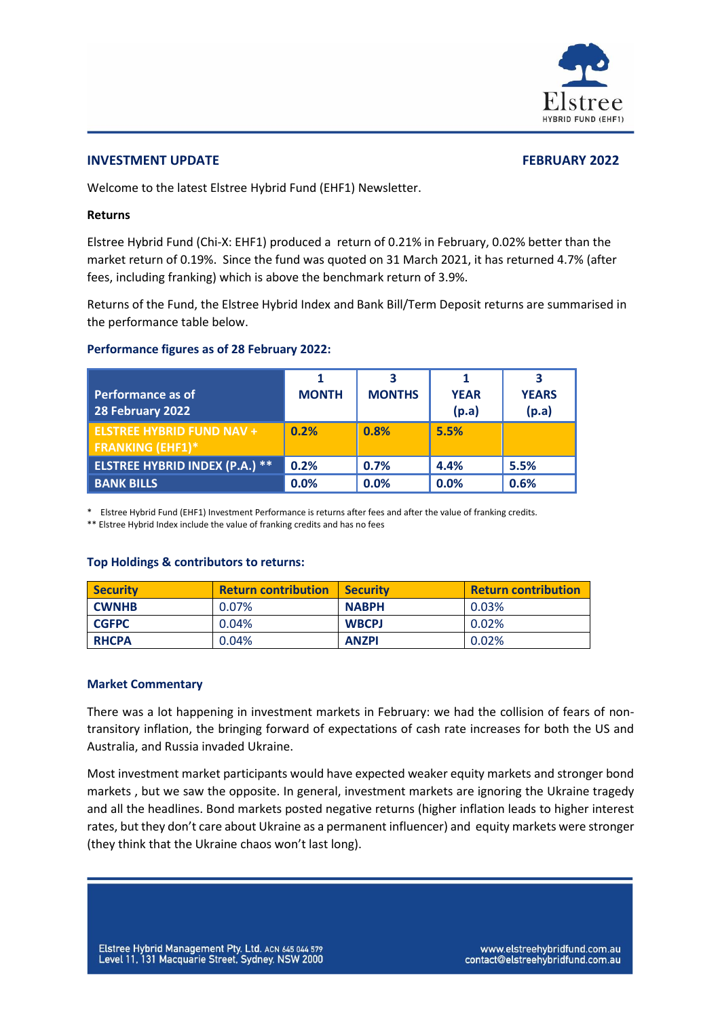

#### **INVESTMENT UPDATE FEBRUARY 2022**

Welcome to the latest Elstree Hybrid Fund (EHF1) Newsletter.

#### **Returns**

Elstree Hybrid Fund (Chi-X: EHF1) produced a return of 0.21% in February, 0.02% better than the market return of 0.19%. Since the fund was quoted on 31 March 2021, it has returned 4.7% (after fees, including franking) which is above the benchmark return of 3.9%.

Returns of the Fund, the Elstree Hybrid Index and Bank Bill/Term Deposit returns are summarised in the performance table below.

#### **Performance figures as of 28 February 2022:**

| <b>Performance as of</b><br>28 February 2022                | <b>MONTH</b> | З<br><b>MONTHS</b> | <b>YEAR</b><br>(p.a) | <b>YEARS</b><br>(p.a) |
|-------------------------------------------------------------|--------------|--------------------|----------------------|-----------------------|
| <b>ELSTREE HYBRID FUND NAV +</b><br><b>FRANKING (EHF1)*</b> | 0.2%         | 0.8%               | 5.5%                 |                       |
| <b>ELSTREE HYBRID INDEX (P.A.) **</b>                       | 0.2%         | 0.7%               | 4.4%                 | 5.5%                  |
| <b>BANK BILLS</b>                                           | 0.0%         | 0.0%               | 0.0%                 | 0.6%                  |

\* Elstree Hybrid Fund (EHF1) Investment Performance is returns after fees and after the value of franking credits.

\*\* Elstree Hybrid Index include the value of franking credits and has no fees

### **Top Holdings & contributors to returns:**

| <b>Security</b> | <b>Return contribution</b> | <b>Security</b> | <b>Return contribution</b> |
|-----------------|----------------------------|-----------------|----------------------------|
| <b>CWNHB</b>    | 0.07%                      | <b>NABPH</b>    | 0.03%                      |
| <b>CGFPC</b>    | $0.04\%$                   | <b>WBCPJ</b>    | 0.02%                      |
| <b>RHCPA</b>    | 0.04%                      | <b>ANZPI</b>    | 0.02%                      |

### **Market Commentary**

There was a lot happening in investment markets in February: we had the collision of fears of nontransitory inflation, the bringing forward of expectations of cash rate increases for both the US and Australia, and Russia invaded Ukraine.

Most investment market participants would have expected weaker equity markets and stronger bond markets , but we saw the opposite. In general, investment markets are ignoring the Ukraine tragedy and all the headlines. Bond markets posted negative returns (higher inflation leads to higher interest rates, but they don't care about Ukraine as a permanent influencer) and equity markets were stronger (they think that the Ukraine chaos won't last long).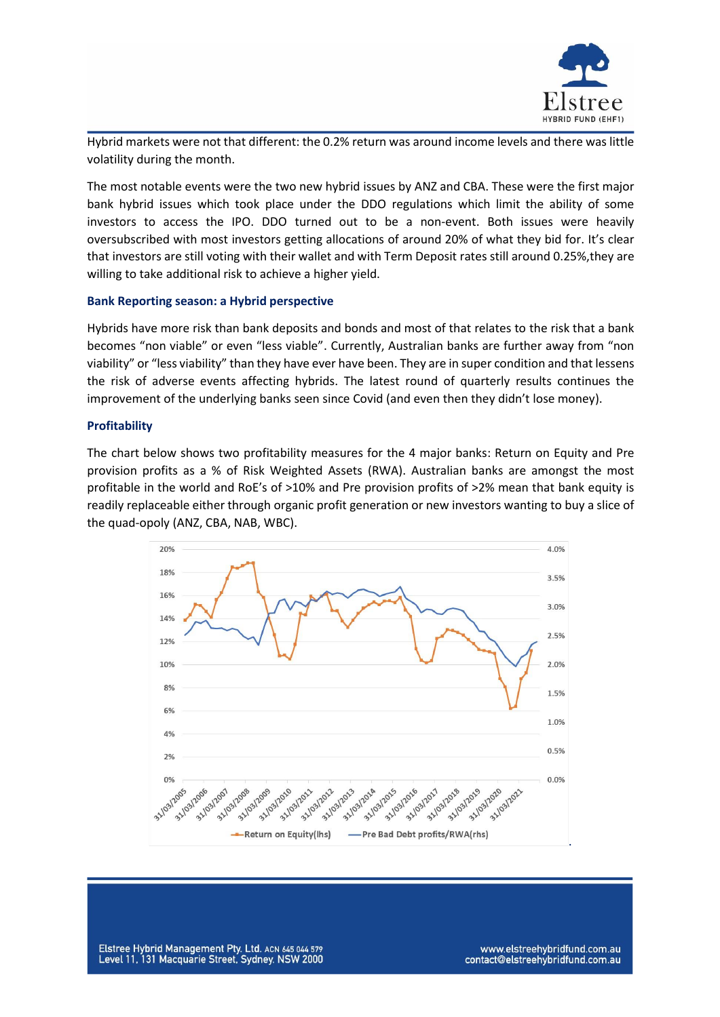

Hybrid markets were not that different: the 0.2% return was around income levels and there was little volatility during the month.

The most notable events were the two new hybrid issues by ANZ and CBA. These were the first major bank hybrid issues which took place under the DDO regulations which limit the ability of some investors to access the IPO. DDO turned out to be a non-event. Both issues were heavily oversubscribed with most investors getting allocations of around 20% of what they bid for. It's clear that investors are still voting with their wallet and with Term Deposit rates still around 0.25%,they are willing to take additional risk to achieve a higher yield.

#### **Bank Reporting season: a Hybrid perspective**

Hybrids have more risk than bank deposits and bonds and most of that relates to the risk that a bank becomes "non viable" or even "less viable". Currently, Australian banks are further away from "non viability" or "less viability" than they have ever have been. They are in super condition and that lessens the risk of adverse events affecting hybrids. The latest round of quarterly results continues the improvement of the underlying banks seen since Covid (and even then they didn't lose money).

#### **Profitability**

The chart below shows two profitability measures for the 4 major banks: Return on Equity and Pre provision profits as a % of Risk Weighted Assets (RWA). Australian banks are amongst the most profitable in the world and RoE's of >10% and Pre provision profits of >2% mean that bank equity is readily replaceable either through organic profit generation or new investors wanting to buy a slice of the quad-opoly (ANZ, CBA, NAB, WBC).



Elstree Hybrid Management Pty. Ltd. ACN 645 044 579 Level 11, 131 Macquarie Street, Sydney. NSW 2000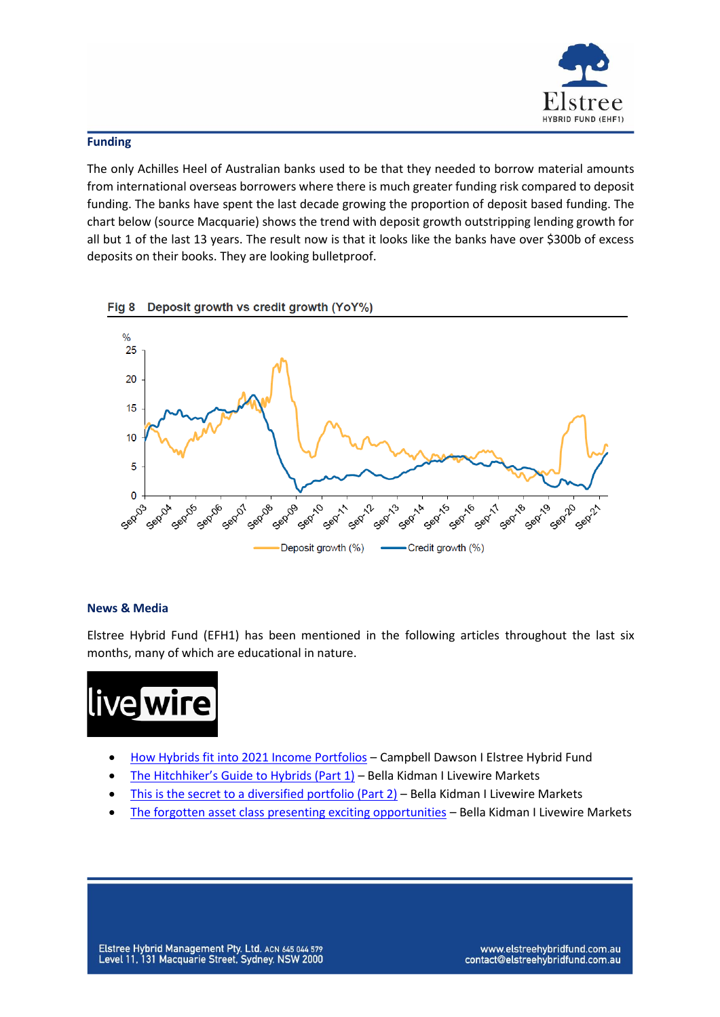

## **Funding**

The only Achilles Heel of Australian banks used to be that they needed to borrow material amounts from international overseas borrowers where there is much greater funding risk compared to deposit funding. The banks have spent the last decade growing the proportion of deposit based funding. The chart below (source Macquarie) shows the trend with deposit growth outstripping lending growth for all but 1 of the last 13 years. The result now is that it looks like the banks have over \$300b of excess deposits on their books. They are looking bulletproof.





# **News & Media**

Elstree Hybrid Fund (EFH1) has been mentioned in the following articles throughout the last six months, many of which are educational in nature.



- [How Hybrids fit into 2021 Income Portfolios](https://www.livewiremarkets.com/wires/how-hybrids-fit-into-2021-income-portfolios) Campbell Dawson I Elstree Hybrid Fund
- [The Hitchhiker's Guide to Hybrids \(Part 1\)](https://www.livewiremarkets.com/wires/the-hitchhiker-s-guide-to-hybrids) Bella Kidman I Livewire Markets
- [This is the secret to a diversified portfolio \(Part 2\)](https://www.livewiremarkets.com/wires/this-is-the-secret-to-a-diversified-portfolio) Bella Kidman I Livewire Markets
- The [forgotten asset class presenting exciting opportunities](https://www.livewiremarkets.com/wires/the-forgotten-asset-class-presenting-exciting-opportunities) Bella Kidman I Livewire Markets

www.elstreehybridfund.com.au contact@elstreehybridfund.com.au